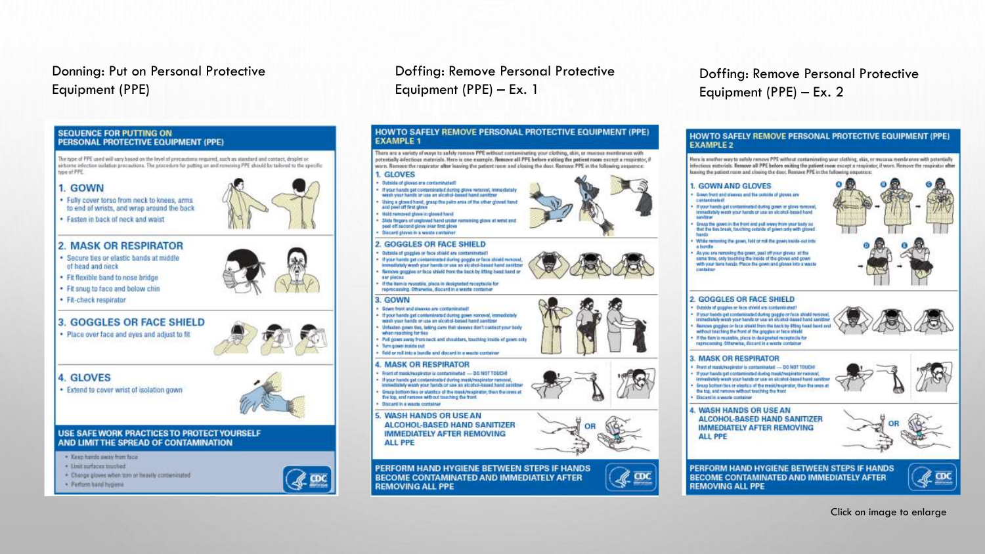#### Donning: Put on Personal Protective Equipment (PPE)



#### Doffing: Remove Personal Protective Equipment (PPE) – Ex. 1



#### Doffing: Remove Personal Protective Equipment (PPE) – Ex. 2

#### HOWTO SAFELY REMOVE PERSONAL PROTECTIVE EQUIPMENT (PPE) **EXAMPLE 2**

Here is another way to eafely remove PPE without contaminating your cluthing, akia, or mucous membranes with potentially infectious nuterials. Bemove all PPE before exiting the patient may except a respirator, if worn. Remove the respirator after leaving the patient room and closing the door. Remove PPE in the fullowing sequence:

#### 1. GOWN AND GLOVES

- Gown front and slames and the outside of ployer are contaminated
- If your hands gat contaminated during gown ar glove removal Immediately week your hands or use an alcohol-based hand *<u>Address</u>*
- Ensig the gown in the frost and pull away from year body so that the besteraak, touching cutside of yours crey with gloved
- While removing the green, fold or roll the groun inside-out into a burds.
- As you are removing the gown, past off your gloves at the same time, only touching the inside of the gloves and gown with your bara hands. Place the gown and glowa into a waste castaine



#### **2. GOGGLES OR FACE SHIELD**

- Dutaids of goggles or face striald are contentrated?
- If your hends get contentraded during goggle or face shield removal investigately wash your hands or use an electrol-based hand senith
- flamove gaggies or face shield from the back by fifting head band and<br>without teaching the front of the goggies or face shield
- 
- If the item is reusable, place in designated receptacle for reprocessing. Otherwise, discurd in a weste container

#### **3. MASK OR RESPIRATOR**

- Prant of mask/wapkrster is contaminated DO NOT TOUCHE
- If your hands get contaminated during mesichsquireter recover). licensitietely wash your hands or use an alcohol-based hard sanitizer
- Erasp bottom tius or elastics of the mast/respirator, then the cross at
- the top, and networe without teaching the itont
- **Biscard in a waste container**

**4. WASH HANDS OR USE AN** 

**ALCOHOL-BASED HAND SANITIZER IMMEDIATELY AFTER REMOVING ALL PPE** 



PERFORM HAND HYGIENE BETWEEN STEPS IF HANDS **BECOME CONTAMINATED AND IMMEDIATELY AFTER REMOVING ALL PPE** 



Click on image to enlarge

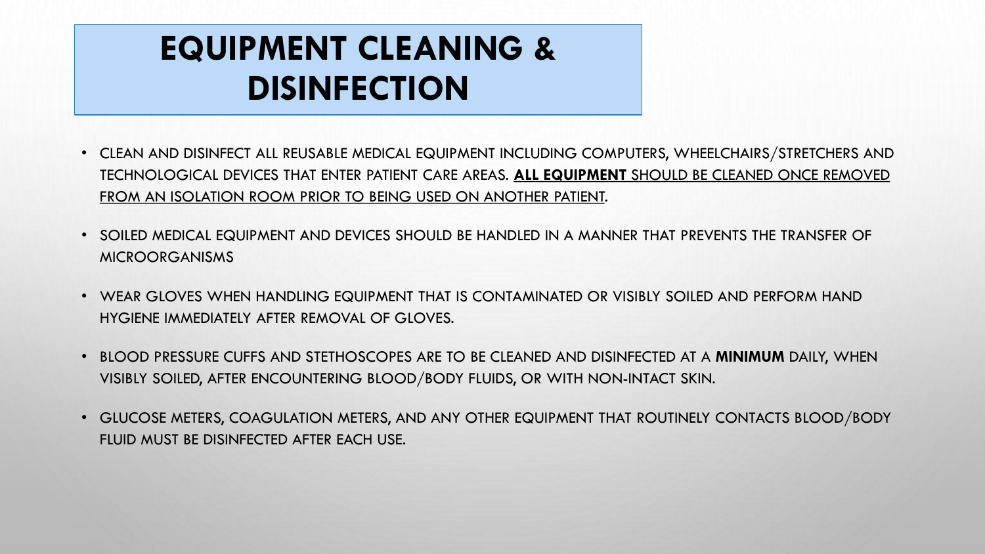## **EQUIPMENT CLEANING & DISINFECTION**

- CLEAN AND DISINFECT ALL REUSABLE MEDICAL EQUIPMENT INCLUDING COMPUTERS, WHEELCHAIRS/STRETCHERS AND TECHNOLOGICAL DEVICES THAT ENTER PATIENT CARE AREAS. **ALL EQUIPMENT** SHOULD BE CLEANED ONCE REMOVED FROM AN ISOLATION ROOM PRIOR TO BEING USED ON ANOTHER PATIENT.
- SOILED MEDICAL EQUIPMENT AND DEVICES SHOULD BE HANDLED IN A MANNER THAT PREVENTS THE TRANSFER OF MICROORGANISMS
- WEAR GLOVES WHEN HANDLING EQUIPMENT THAT IS CONTAMINATED OR VISIBLY SOILED AND PERFORM HAND HYGIENE IMMEDIATELY AFTER REMOVAL OF GLOVES.
- BLOOD PRESSURE CUFFS AND STETHOSCOPES ARE TO BE CLEANED AND DISINFECTED AT A **MINIMUM** DAILY, WHEN VISIBLY SOILED, AFTER ENCOUNTERING BLOOD/BODY FLUIDS, OR WITH NON-INTACT SKIN.
- GLUCOSE METERS, COAGULATION METERS, AND ANY OTHER EQUIPMENT THAT ROUTINELY CONTACTS BLOOD/BODY FLUID MUST BE DISINFECTED AFTER EACH USE.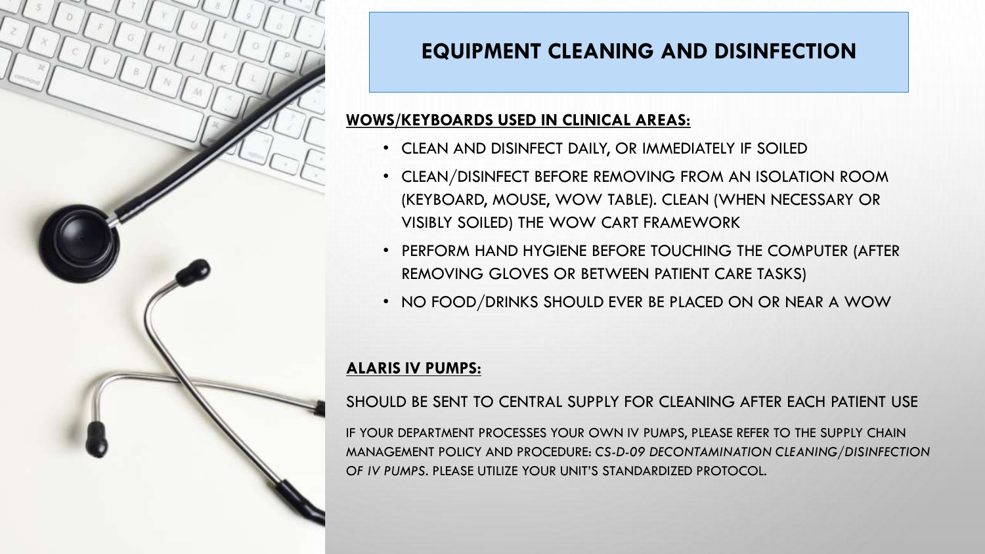

### **EQUIPMENT CLEANING AND DISINFECTION**

### **WOWS/KEYBOARDS USED IN CLINICAL AREAS:**

- CLEAN AND DISINFECT DAILY, OR IMMEDIATELY IF SOILED
- CLEAN/DISINFECT BEFORE REMOVING FROM AN ISOLATION ROOM (KEYBOARD, MOUSE, WOW TABLE). CLEAN (WHEN NECESSARY OR VISIBLY SOILED) THE WOW CART FRAMEWORK
- PERFORM HAND HYGIENE BEFORE TOUCHING THE COMPUTER (AFTER REMOVING GLOVES OR BETWEEN PATIENT CARE TASKS)
- NO FOOD/DRINKS SHOULD EVER BE PLACED ON OR NEAR A WOW

#### **ALARIS IV PUMPS:**

SHOULD BE SENT TO CENTRAL SUPPLY FOR CLEANING AFTER EACH PATIENT USE

IF YOUR DEPARTMENT PROCESSES YOUR OWN IV PUMPS, PLEASE REFER TO THE SUPPLY CHAIN MANAGEMENT POLICY AND PROCEDURE: *CS-D-09 DECONTAMINATION CLEANING/DISINFECTION OF IV PUMPS*. PLEASE UTILIZE YOUR UNIT'S STANDARDIZED PROTOCOL.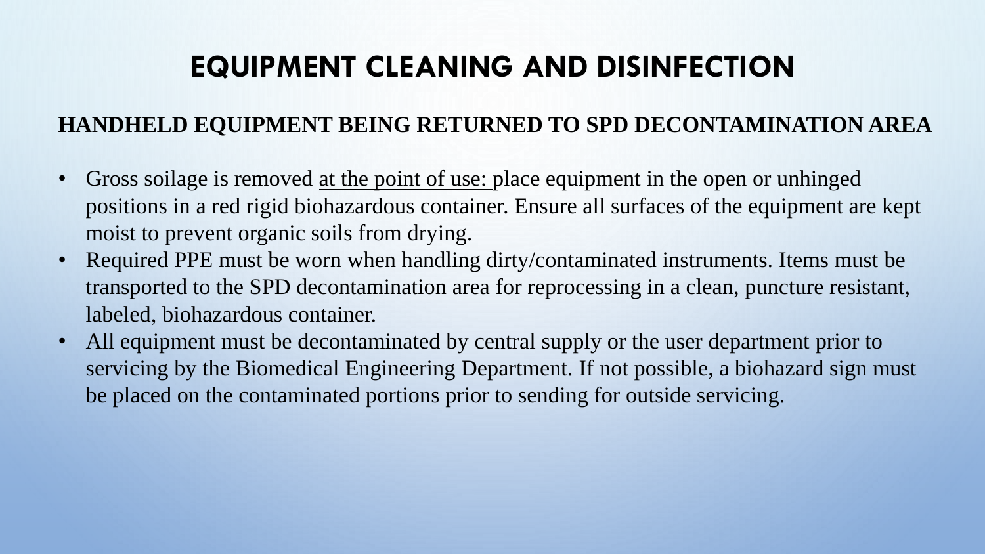### **EQUIPMENT CLEANING AND DISINFECTION**

### **HANDHELD EQUIPMENT BEING RETURNED TO SPD DECONTAMINATION AREA**

- Gross soilage is removed at the point of use: place equipment in the open or unhinged positions in a red rigid biohazardous container. Ensure all surfaces of the equipment are kept moist to prevent organic soils from drying.
- Required PPE must be worn when handling dirty/contaminated instruments. Items must be transported to the SPD decontamination area for reprocessing in a clean, puncture resistant, labeled, biohazardous container.
- All equipment must be decontaminated by central supply or the user department prior to servicing by the Biomedical Engineering Department. If not possible, a biohazard sign must be placed on the contaminated portions prior to sending for outside servicing.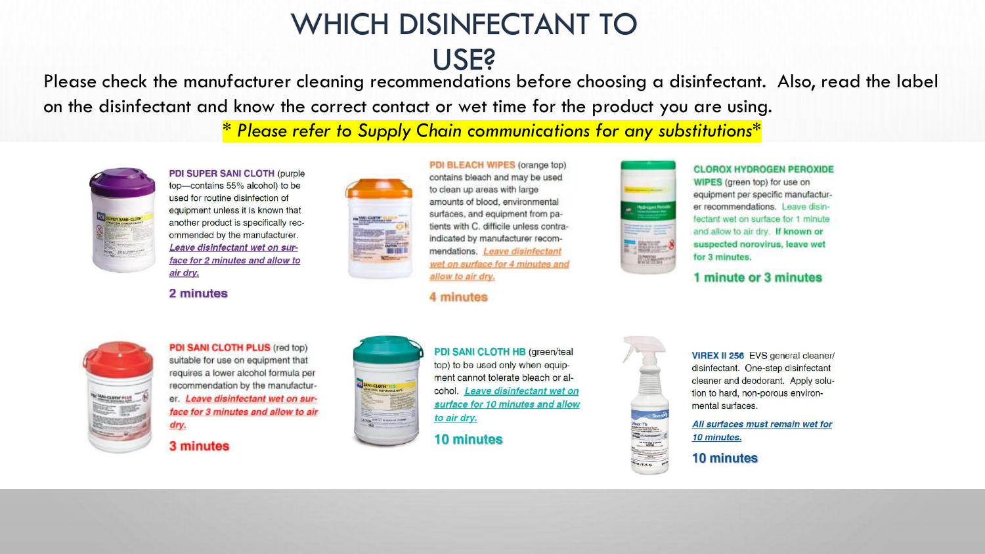# WHICH DISINFECTANT TO

USE?

Please check the manufacturer cleaning recommendations before choosing a disinfectant. Also, read the label on the disinfectant and know the correct contact or wet time for the product you are using.

\* *Please refer to Supply Chain communications for any substitutions\**



PDI SUPER SANI CLOTH (purple top-contains 55% alcohol) to be used for routine disinfection of equipment unless it is known that another product is specifically recommended by the manufacturer. Leave disinfectant wet on surface for 2 minutes and allow to air dry.

2 minutes



PDI BLEACH WIPES (orange top) contains bleach and may be used to clean up areas with large amounts of blood, environmental surfaces, and equipment from patients with C. difficile unless contraindicated by manufacturer recommendations. Leave disinfectant wet on surface for 4 minutes and allow to air dry.

4 minutes



**CLOROX HYDROGEN PEROXIDE** WIPES (green top) for use on equipment per specific manufacturer recommendations. Leave disinfectant wet on surface for 1 minute and allow to air dry. If known or suspected norovirus, leave wet for 3 minutes.

1 minute or 3 minutes



PDI SANI CLOTH PLUS (red top) suitable for use on equipment that requires a lower alcohol formula per recommendation by the manufacturer. Leave disinfectant wet on surface for 3 minutes and allow to air dry.

#### 3 minutes



PDI SANI CLOTH HB (green/teal top) to be used only when equipment cannot tolerate bleach or alcohol. Leave disinfectant wet on surface for 10 minutes and allow to air dry.

#### **10 minutes**



VIREX II 256 EVS general cleaner/ disinfectant. One-step disinfectant cleaner and deodorant. Apply solution to hard, non-porous environmental surfaces.

All surfaces must remain wet for 10 minutes.

10 minutes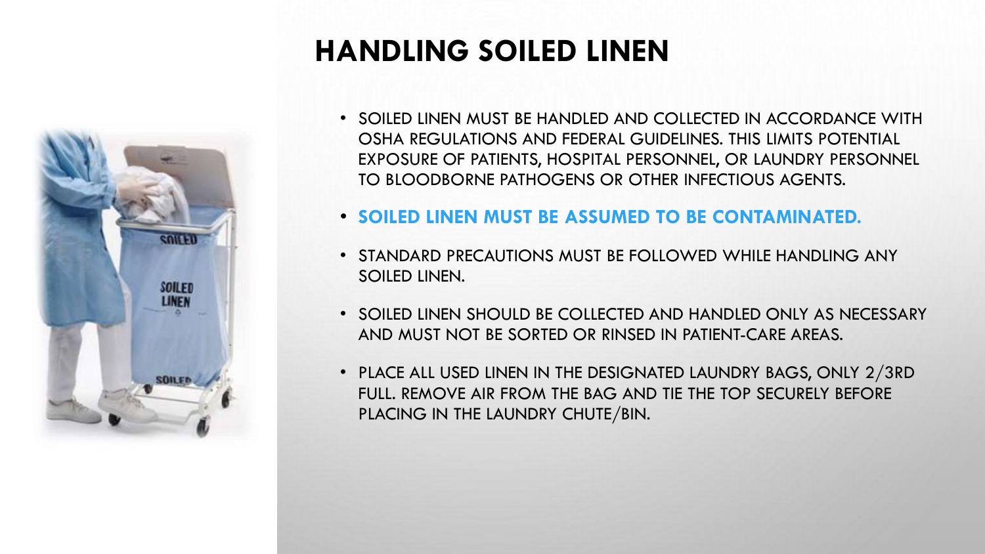

### **HANDLING SOILED LINEN**

- SOILED LINEN MUST BE HANDLED AND COLLECTED IN ACCORDANCE WITH OSHA REGULATIONS AND FEDERAL GUIDELINES. THIS LIMITS POTENTIAL EXPOSURE OF PATIENTS, HOSPITAL PERSONNEL, OR LAUNDRY PERSONNEL TO BLOODBORNE PATHOGENS OR OTHER INFECTIOUS AGENTS.
- **SOILED LINEN MUST BE ASSUMED TO BE CONTAMINATED.**
- STANDARD PRECAUTIONS MUST BE FOLLOWED WHILE HANDLING ANY SOILED LINEN.
- SOILED LINEN SHOULD BE COLLECTED AND HANDLED ONLY AS NECESSARY AND MUST NOT BE SORTED OR RINSED IN PATIENT-CARE AREAS.
- PLACE ALL USED LINEN IN THE DESIGNATED LAUNDRY BAGS, ONLY 2/3RD FULL. REMOVE AIR FROM THE BAG AND TIE THE TOP SECURELY BEFORE PLACING IN THE LAUNDRY CHUTE/BIN.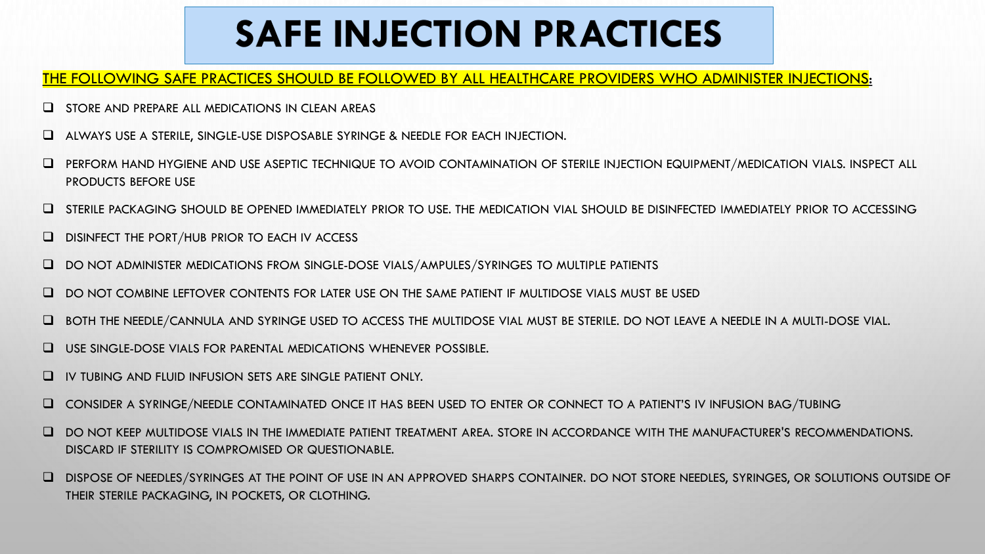## **SAFE INJECTION PRACTICES**

#### THE FOLLOWING SAFE PRACTICES SHOULD BE FOLLOWED BY ALL HEALTHCARE PROVIDERS WHO ADMINISTER INJECTIONS:

- ❑ STORE AND PREPARE ALL MEDICATIONS IN CLEAN AREAS
- ❑ ALWAYS USE A STERILE, SINGLE-USE DISPOSABLE SYRINGE & NEEDLE FOR EACH INJECTION.
- ❑ PERFORM HAND HYGIENE AND USE ASEPTIC TECHNIQUE TO AVOID CONTAMINATION OF STERILE INJECTION EQUIPMENT/MEDICATION VIALS. INSPECT ALL PRODUCTS BEFORE USE
- ❑ STERILE PACKAGING SHOULD BE OPENED IMMEDIATELY PRIOR TO USE. THE MEDICATION VIAL SHOULD BE DISINFECTED IMMEDIATELY PRIOR TO ACCESSING
- ❑ DISINFECT THE PORT/HUB PRIOR TO EACH IV ACCESS
- ❑ DO NOT ADMINISTER MEDICATIONS FROM SINGLE-DOSE VIALS/AMPULES/SYRINGES TO MULTIPLE PATIENTS
- ❑ DO NOT COMBINE LEFTOVER CONTENTS FOR LATER USE ON THE SAME PATIENT IF MULTIDOSE VIALS MUST BE USED
- ❑ BOTH THE NEEDLE/CANNULA AND SYRINGE USED TO ACCESS THE MULTIDOSE VIAL MUST BE STERILE. DO NOT LEAVE A NEEDLE IN A MULTI-DOSE VIAL.
- ❑ USE SINGLE-DOSE VIALS FOR PARENTAL MEDICATIONS WHENEVER POSSIBLE.
- ❑ IV TUBING AND FLUID INFUSION SETS ARE SINGLE PATIENT ONLY.
- ❑ CONSIDER A SYRINGE/NEEDLE CONTAMINATED ONCE IT HAS BEEN USED TO ENTER OR CONNECT TO A PATIENT'S IV INFUSION BAG/TUBING
- ❑ DO NOT KEEP MULTIDOSE VIALS IN THE IMMEDIATE PATIENT TREATMENT AREA. STORE IN ACCORDANCE WITH THE MANUFACTURER'S RECOMMENDATIONS. DISCARD IF STERILITY IS COMPROMISED OR QUESTIONABLE.
- ❑ DISPOSE OF NEEDLES/SYRINGES AT THE POINT OF USE IN AN APPROVED SHARPS CONTAINER. DO NOT STORE NEEDLES, SYRINGES, OR SOLUTIONS OUTSIDE OF THEIR STERILE PACKAGING, IN POCKETS, OR CLOTHING.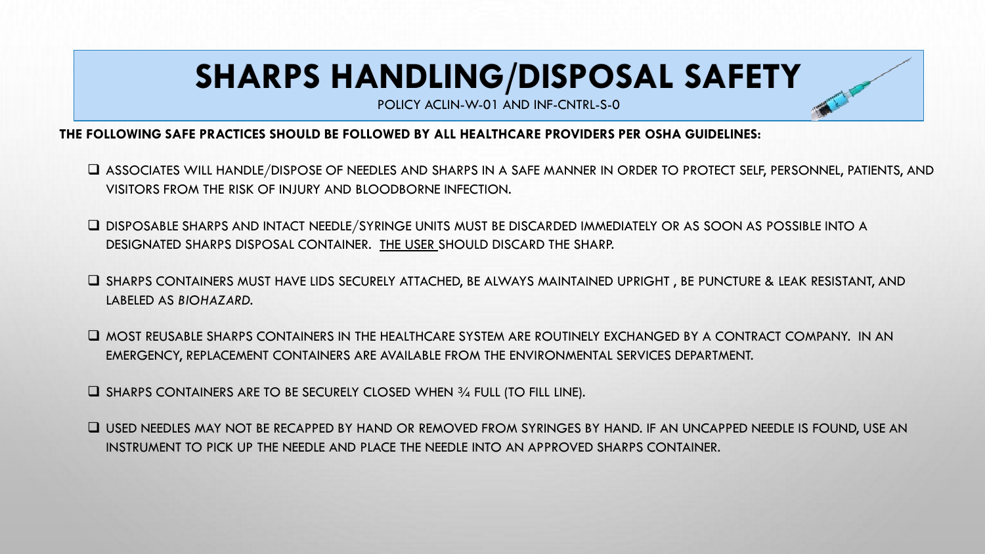## **SHARPS HANDLING/DISPOSAL SAFETY**

POLICY ACLIN-W-01 AND INF-CNTRL-S-0

#### **THE FOLLOWING SAFE PRACTICES SHOULD BE FOLLOWED BY ALL HEALTHCARE PROVIDERS PER OSHA GUIDELINES:**

- ❑ ASSOCIATES WILL HANDLE/DISPOSE OF NEEDLES AND SHARPS IN A SAFE MANNER IN ORDER TO PROTECT SELF, PERSONNEL, PATIENTS, AND VISITORS FROM THE RISK OF INJURY AND BLOODBORNE INFECTION.
- ❑ DISPOSABLE SHARPS AND INTACT NEEDLE/SYRINGE UNITS MUST BE DISCARDED IMMEDIATELY OR AS SOON AS POSSIBLE INTO A DESIGNATED SHARPS DISPOSAL CONTAINER. THE USER SHOULD DISCARD THE SHARP.
- ❑ SHARPS CONTAINERS MUST HAVE LIDS SECURELY ATTACHED, BE ALWAYS MAINTAINED UPRIGHT , BE PUNCTURE & LEAK RESISTANT, AND LABELED AS *BIOHAZARD.*
- ❑ MOST REUSABLE SHARPS CONTAINERS IN THE HEALTHCARE SYSTEM ARE ROUTINELY EXCHANGED BY A CONTRACT COMPANY. IN AN EMERGENCY, REPLACEMENT CONTAINERS ARE AVAILABLE FROM THE ENVIRONMENTAL SERVICES DEPARTMENT.
- ❑ SHARPS CONTAINERS ARE TO BE SECURELY CLOSED WHEN ¾ FULL (TO FILL LINE).

❑ USED NEEDLES MAY NOT BE RECAPPED BY HAND OR REMOVED FROM SYRINGES BY HAND. IF AN UNCAPPED NEEDLE IS FOUND, USE AN INSTRUMENT TO PICK UP THE NEEDLE AND PLACE THE NEEDLE INTO AN APPROVED SHARPS CONTAINER.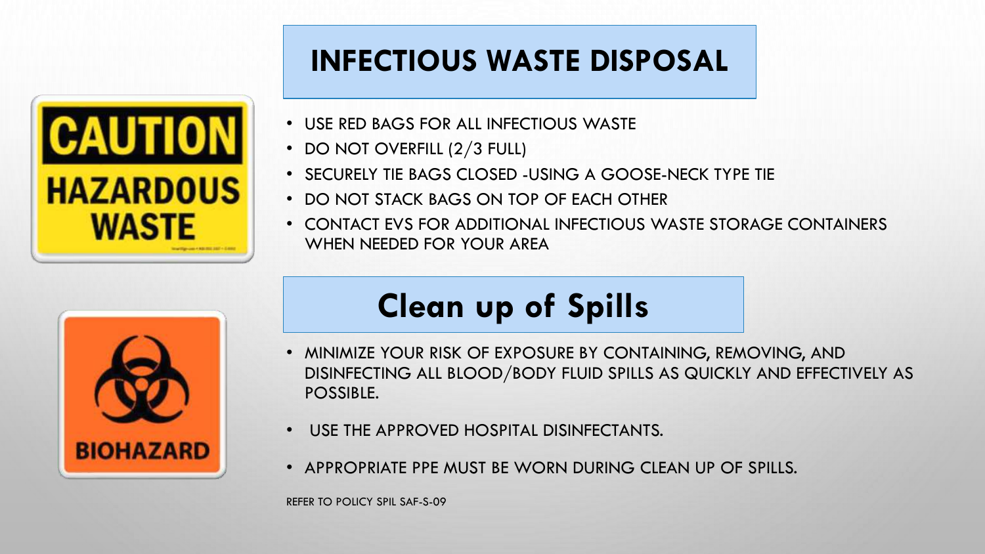### **INFECTIOUS WASTE DISPOSAL**



- USE RED BAGS FOR ALL INFECTIOUS WASTE
- DO NOT OVERFILL (2/3 FULL)
- SECURELY TIE BAGS CLOSED -USING A GOOSE-NECK TYPE TIE
- DO NOT STACK BAGS ON TOP OF EACH OTHER
- CONTACT EVS FOR ADDITIONAL INFECTIOUS WASTE STORAGE CONTAINERS WHEN NEEDED FOR YOUR AREA



## **Clean up of Spills**

- MINIMIZE YOUR RISK OF EXPOSURE BY CONTAINING, REMOVING, AND DISINFECTING ALL BLOOD/BODY FLUID SPILLS AS QUICKLY AND EFFECTIVELY AS POSSIBLE.
- USE THE APPROVED HOSPITAL DISINFECTANTS.
- APPROPRIATE PPE MUST BE WORN DURING CLEAN UP OF SPILLS.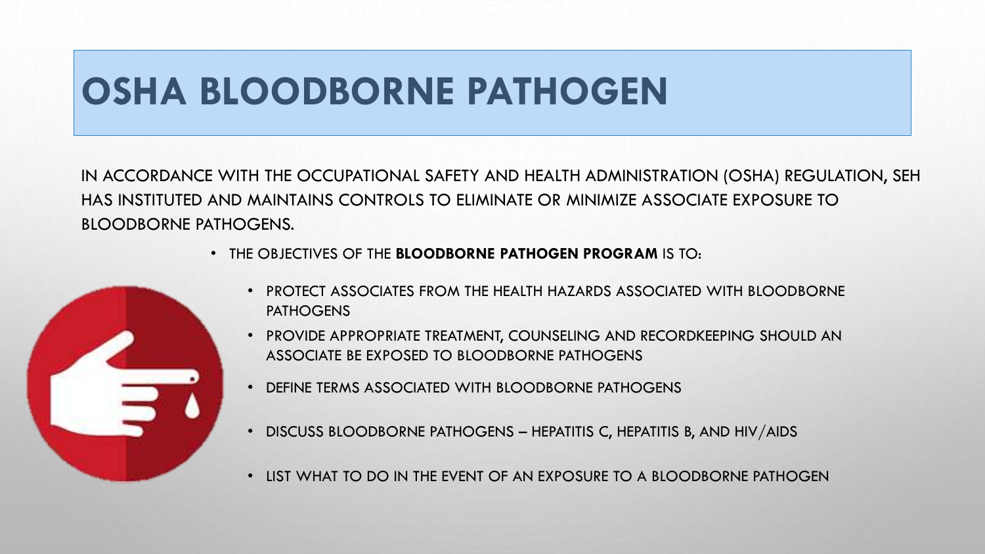## **OSHA BLOODBORNE PATHOGEN**

IN ACCORDANCE WITH THE OCCUPATIONAL SAFETY AND HEALTH ADMINISTRATION (OSHA) REGULATION, SEH HAS INSTITUTED AND MAINTAINS CONTROLS TO ELIMINATE OR MINIMIZE ASSOCIATE EXPOSURE TO BLOODBORNE PATHOGENS.

• THE OBJECTIVES OF THE **BLOODBORNE PATHOGEN PROGRAM** IS TO:



- PROTECT ASSOCIATES FROM THE HEALTH HAZARDS ASSOCIATED WITH BLOODBORNE **PATHOGENS**
- PROVIDE APPROPRIATE TREATMENT, COUNSELING AND RECORDKEEPING SHOULD AN ASSOCIATE BE EXPOSED TO BLOODBORNE PATHOGENS
- DEFINE TERMS ASSOCIATED WITH BLOODBORNE PATHOGENS
- DISCUSS BLOODBORNE PATHOGENS HEPATITIS C, HEPATITIS B, AND HIV/AIDS
- LIST WHAT TO DO IN THE EVENT OF AN EXPOSURE TO A BLOODBORNE PATHOGEN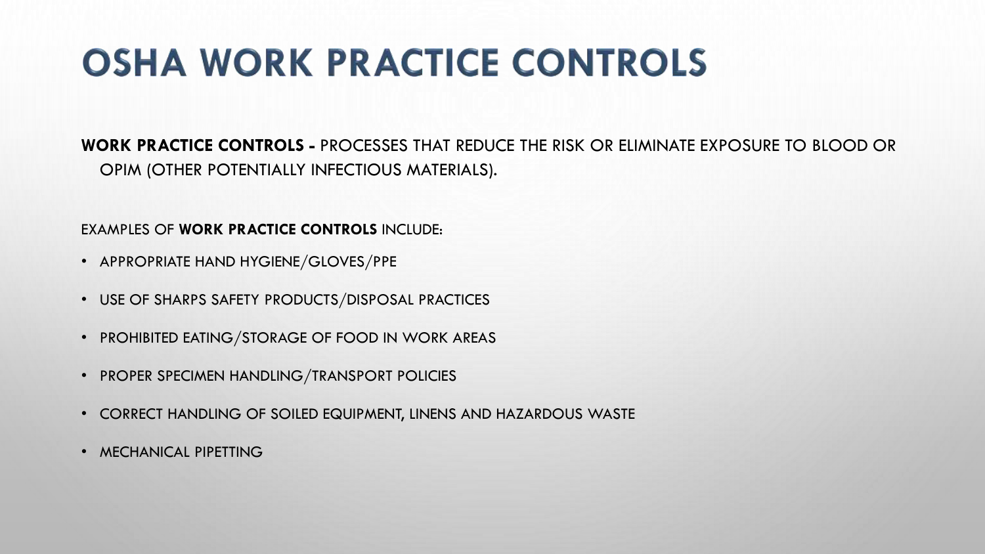# **OSHA WORK PRACTICE CONTROLS**

**WORK PRACTICE CONTROLS -** PROCESSES THAT REDUCE THE RISK OR ELIMINATE EXPOSURE TO BLOOD OR OPIM (OTHER POTENTIALLY INFECTIOUS MATERIALS).

EXAMPLES OF **WORK PRACTICE CONTROLS** INCLUDE:

- APPROPRIATE HAND HYGIENE/GLOVES/PPE
- USE OF SHARPS SAFETY PRODUCTS/DISPOSAL PRACTICES
- PROHIBITED EATING/STORAGE OF FOOD IN WORK AREAS
- PROPER SPECIMEN HANDLING/TRANSPORT POLICIES
- CORRECT HANDLING OF SOILED EQUIPMENT, LINENS AND HAZARDOUS WASTE
- MECHANICAL PIPETTING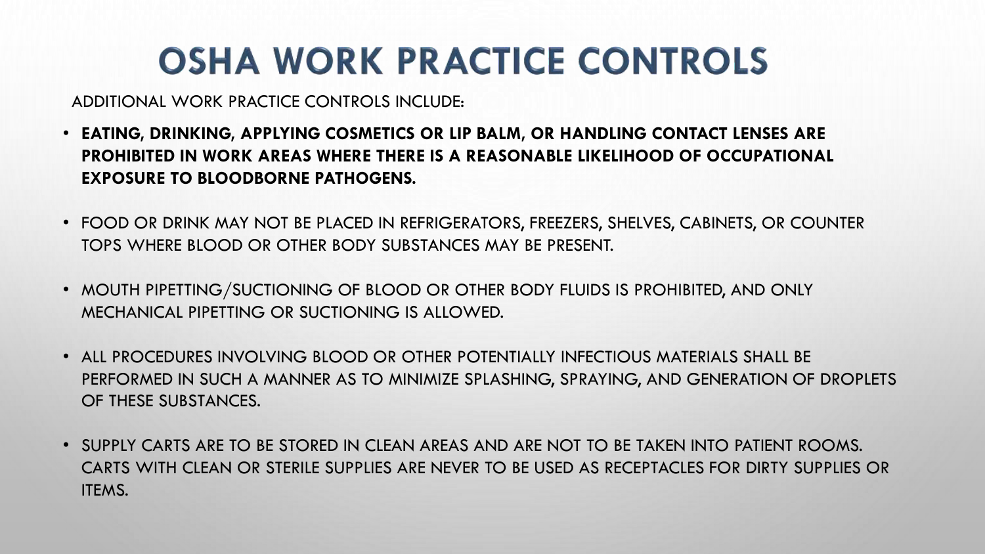# **OSHA WORK PRACTICE CONTROLS**

ADDITIONAL WORK PRACTICE CONTROLS INCLUDE:

- **EATING, DRINKING, APPLYING COSMETICS OR LIP BALM, OR HANDLING CONTACT LENSES ARE PROHIBITED IN WORK AREAS WHERE THERE IS A REASONABLE LIKELIHOOD OF OCCUPATIONAL EXPOSURE TO BLOODBORNE PATHOGENS.**
- FOOD OR DRINK MAY NOT BE PLACED IN REFRIGERATORS, FREEZERS, SHELVES, CABINETS, OR COUNTER TOPS WHERE BLOOD OR OTHER BODY SUBSTANCES MAY BE PRESENT.
- MOUTH PIPETTING/SUCTIONING OF BLOOD OR OTHER BODY FLUIDS IS PROHIBITED, AND ONLY MECHANICAL PIPETTING OR SUCTIONING IS ALLOWED.
- ALL PROCEDURES INVOLVING BLOOD OR OTHER POTENTIALLY INFECTIOUS MATERIALS SHALL BE PERFORMED IN SUCH A MANNER AS TO MINIMIZE SPLASHING, SPRAYING, AND GENERATION OF DROPLETS OF THESE SUBSTANCES.
- SUPPLY CARTS ARE TO BE STORED IN CLEAN AREAS AND ARE NOT TO BE TAKEN INTO PATIENT ROOMS. CARTS WITH CLEAN OR STERILE SUPPLIES ARE NEVER TO BE USED AS RECEPTACLES FOR DIRTY SUPPLIES OR ITEMS.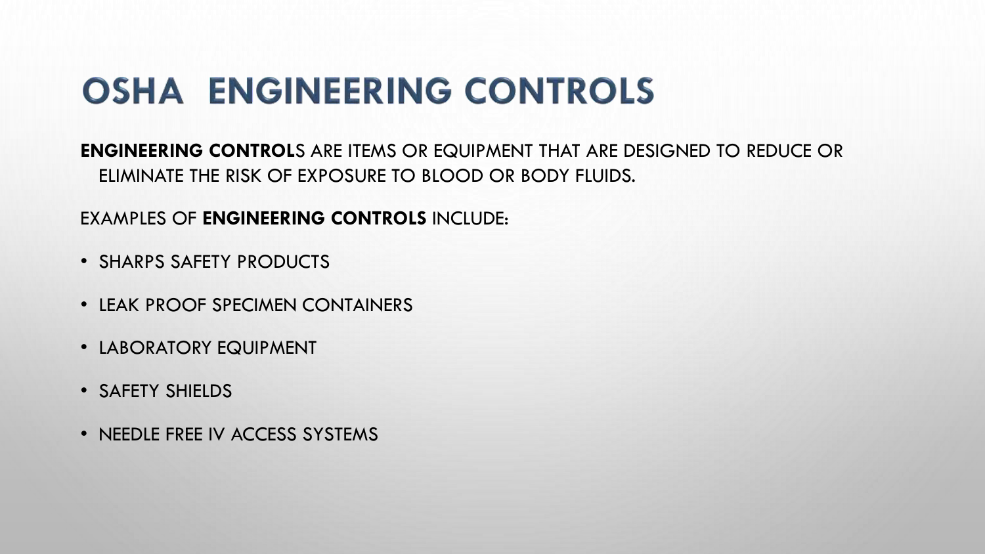## **OSHA ENGINEERING CONTROLS**

**ENGINEERING CONTROL**S ARE ITEMS OR EQUIPMENT THAT ARE DESIGNED TO REDUCE OR ELIMINATE THE RISK OF EXPOSURE TO BLOOD OR BODY FLUIDS.

EXAMPLES OF **ENGINEERING CONTROLS** INCLUDE:

- SHARPS SAFETY PRODUCTS
- LEAK PROOF SPECIMEN CONTAINERS
- LABORATORY EQUIPMENT
- SAFETY SHIELDS
- NEEDLE FREE IV ACCESS SYSTEMS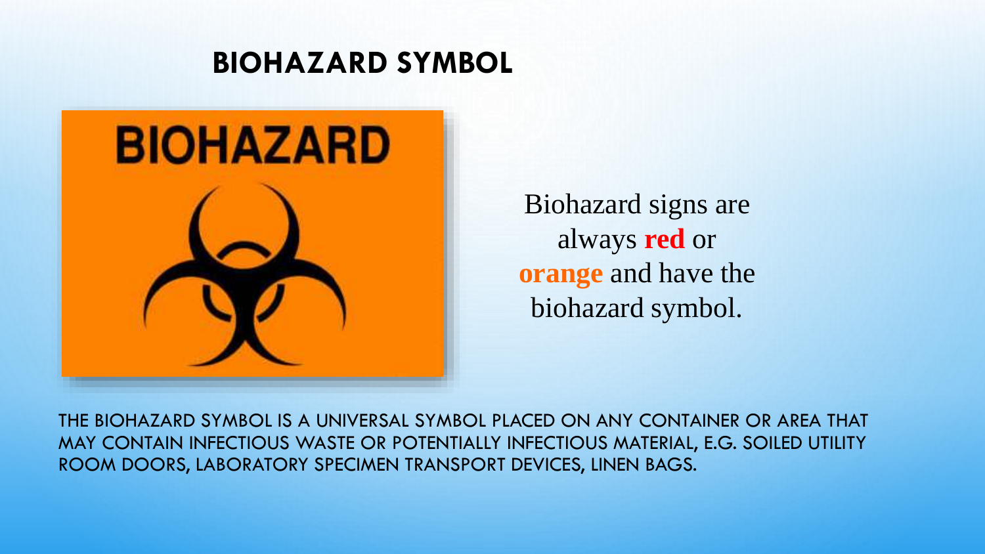### **BIOHAZARD SYMBOL**



Biohazard signs are always **red** or **orange** and have the biohazard symbol.

THE BIOHAZARD SYMBOL IS A UNIVERSAL SYMBOL PLACED ON ANY CONTAINER OR AREA THAT MAY CONTAIN INFECTIOUS WASTE OR POTENTIALLY INFECTIOUS MATERIAL, E.G. SOILED UTILITY ROOM DOORS, LABORATORY SPECIMEN TRANSPORT DEVICES, LINEN BAGS.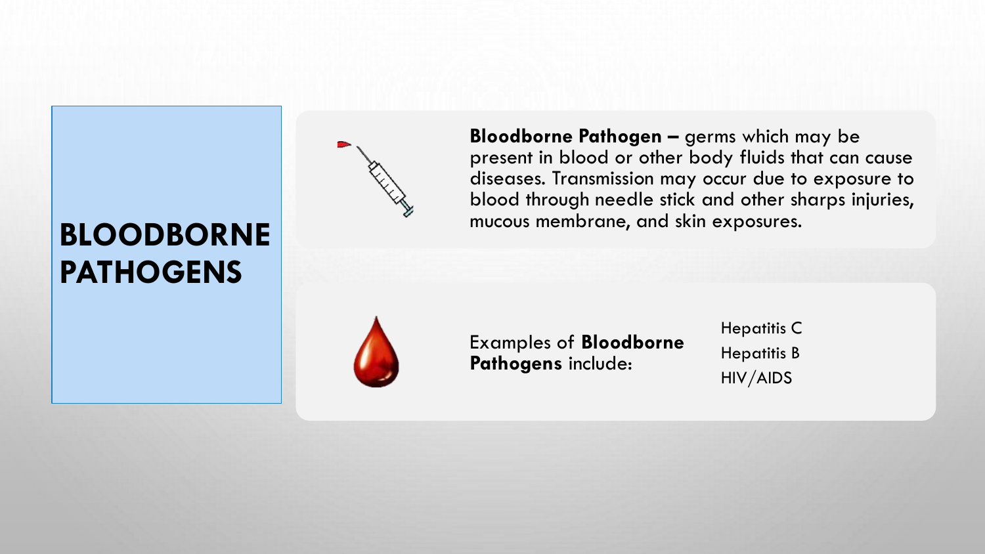## **BLOODBORNE PATHOGENS**



**Bloodborne Pathogen –** germs which may be present in blood or other body fluids that can cause diseases. Transmission may occur due to exposure to blood through needle stick and other sharps injuries, mucous membrane, and skin exposures.



Examples of **Bloodborne Pathogens** include:

Hepatitis C Hepatitis B HIV/AIDS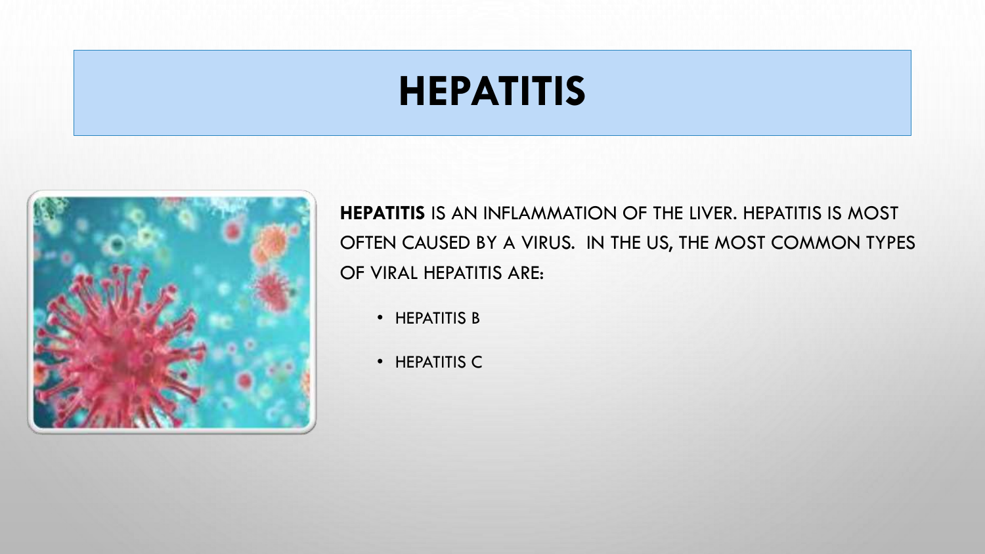# **HEPATITIS**



**HEPATITIS** IS AN INFLAMMATION OF THE LIVER. HEPATITIS IS MOST OFTEN CAUSED BY A VIRUS. IN THE US, THE MOST COMMON TYPES OF VIRAL HEPATITIS ARE:

- HEPATITIS B
- HEPATITIS C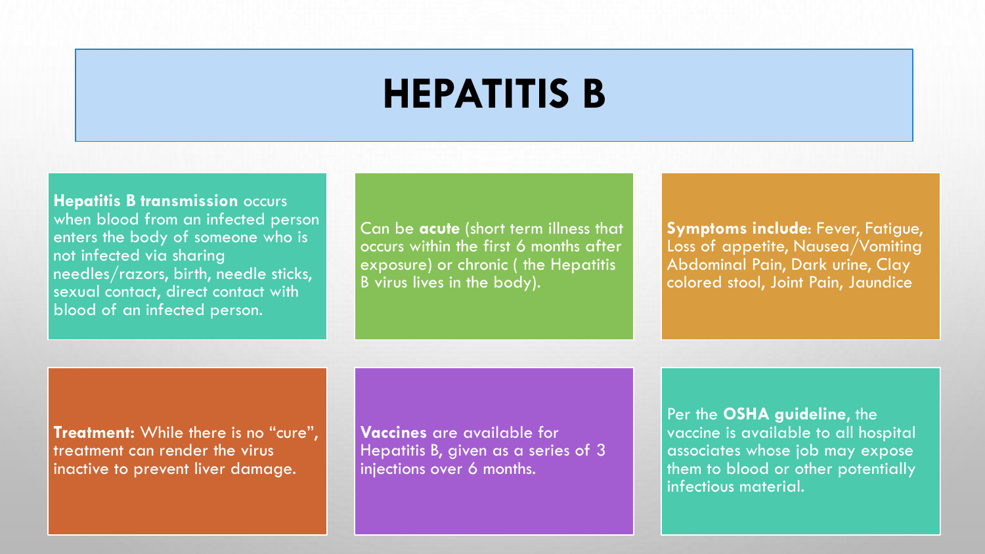## **HEPATITIS B**

**Hepatitis B transmission** occurs

when blood from an infected person enters the body of someone who is not infected via sharing needles/razors, birth, needle sticks, sexual contact, direct contact with blood of an infected person.

Can be **acute** (short term illness that occurs within the first 6 months after exposure) or chronic ( the Hepatitis B virus lives in the body).

**Symptoms include**: Fever, Fatigue, Loss of appetite, Nausea/Vomiting Abdominal Pain, Dark urine, Clay colored stool, Joint Pain, Jaundice

**Treatment:** While there is no "cure", treatment can render the virus inactive to prevent liver damage.

**Vaccines** are available for Hepatitis B, given as a series of 3 injections over 6 months.

Per the **OSHA guideline**, the vaccine is available to all hospital associates whose job may expose them to blood or other potentially infectious material.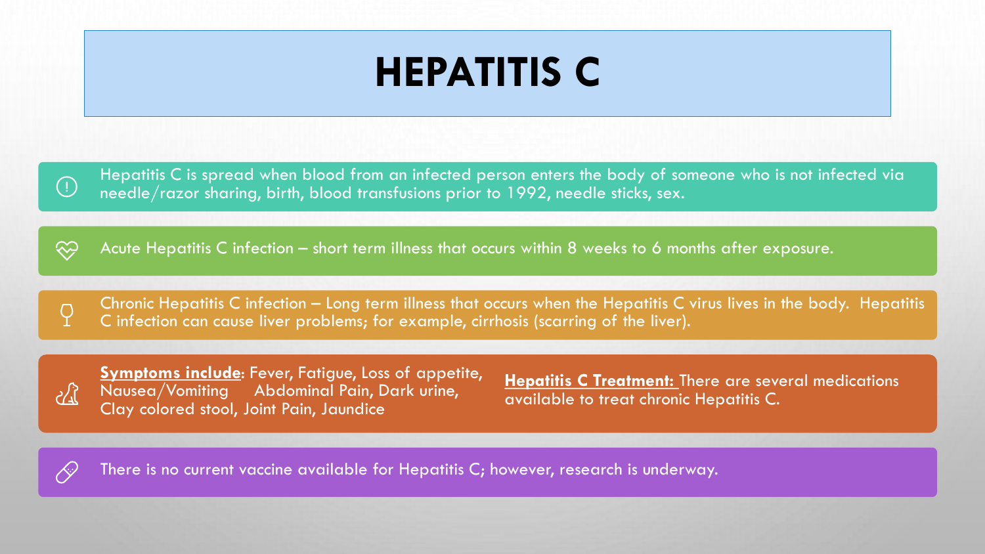# **HEPATITIS C**

Hepatitis C is spread when blood from an infected person enters the body of someone who is not infected via needle/razor sharing, birth, blood transfusions prior to 1992, needle sticks, sex.

3 Acute Hepatitis C infection – short term illness that occurs within 8 weeks to 6 months after exposure.



 $(\cdot)$ 

Chronic Hepatitis C infection – Long term illness that occurs when the Hepatitis C virus lives in the body. Hepatitis C infection can cause liver problems; for example, cirrhosis (scarring of the liver).



**Symptoms include**: Fever, Fatigue, Loss of appetite, Nausea/Vomiting Abdominal Pain, Dark urine, Clay colored stool, Joint Pain, Jaundice

**Hepatitis C Treatment:** There are several medications available to treat chronic Hepatitis C.



There is no current vaccine available for Hepatitis C; however, research is underway.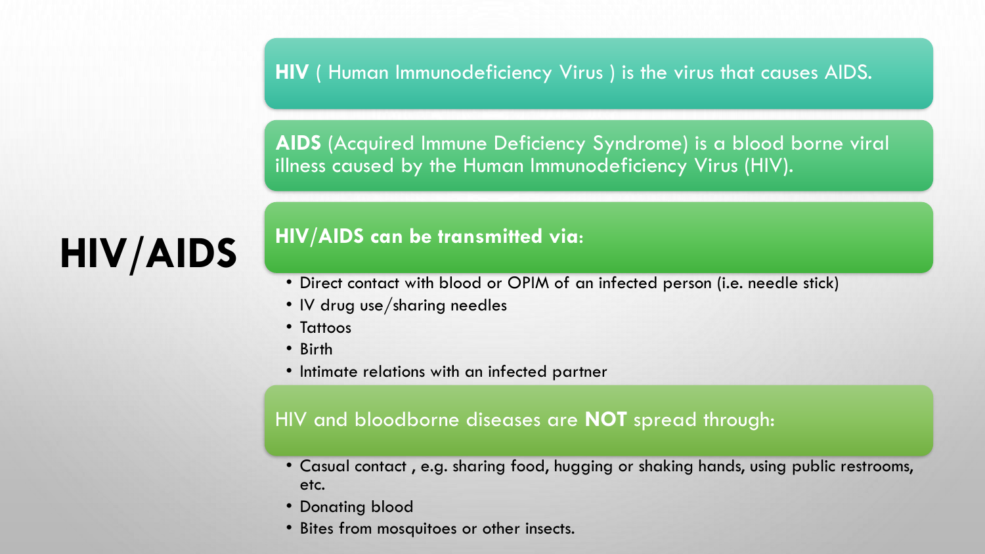**HIV** ( Human Immunodeficiency Virus ) is the virus that causes AIDS.

**AIDS** (Acquired Immune Deficiency Syndrome) is a blood borne viral illness caused by the Human Immunodeficiency Virus (HIV).

# **HIV/AIDS**

### **HIV/AIDS can be transmitted via**:

- Direct contact with blood or OPIM of an infected person (i.e. needle stick)
- IV drug use/sharing needles
- Tattoos
- Birth
- Intimate relations with an infected partner

### HIV and bloodborne diseases are **NOT** spread through:

- Casual contact , e.g. sharing food, hugging or shaking hands, using public restrooms, etc.
- Donating blood
- Bites from mosquitoes or other insects.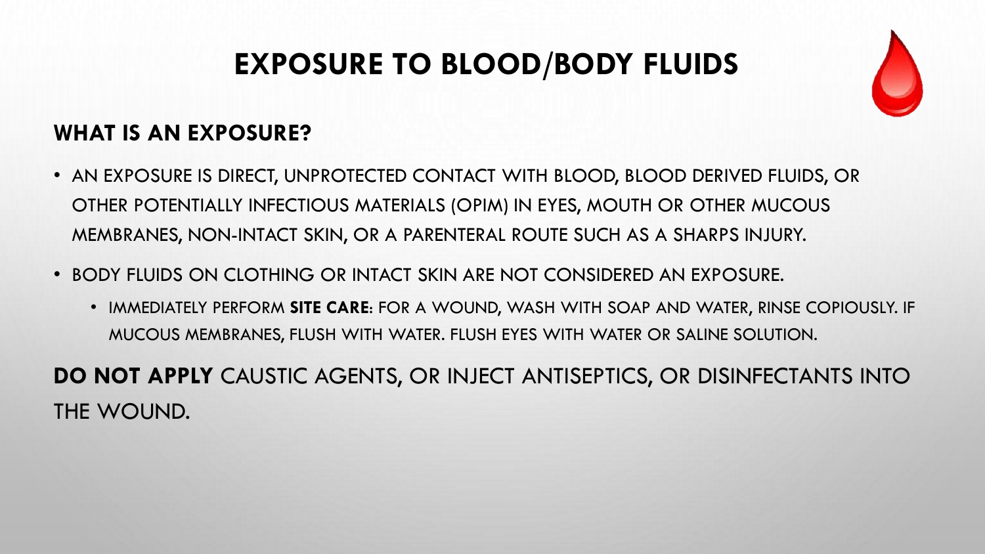## **EXPOSURE TO BLOOD/BODY FLUIDS**



### **WHAT IS AN EXPOSURE?**

- AN EXPOSURE IS DIRECT, UNPROTECTED CONTACT WITH BLOOD, BLOOD DERIVED FLUIDS, OR OTHER POTENTIALLY INFECTIOUS MATERIALS (OPIM) IN EYES, MOUTH OR OTHER MUCOUS MEMBRANES, NON-INTACT SKIN, OR A PARENTERAL ROUTE SUCH AS A SHARPS INJURY.
- BODY FLUIDS ON CLOTHING OR INTACT SKIN ARE NOT CONSIDERED AN EXPOSURE.
	- IMMEDIATELY PERFORM **SITE CARE**: FOR A WOUND, WASH WITH SOAP AND WATER, RINSE COPIOUSLY. IF MUCOUS MEMBRANES, FLUSH WITH WATER. FLUSH EYES WITH WATER OR SALINE SOLUTION.

**DO NOT APPLY** CAUSTIC AGENTS, OR INJECT ANTISEPTICS, OR DISINFECTANTS INTO THE WOUND.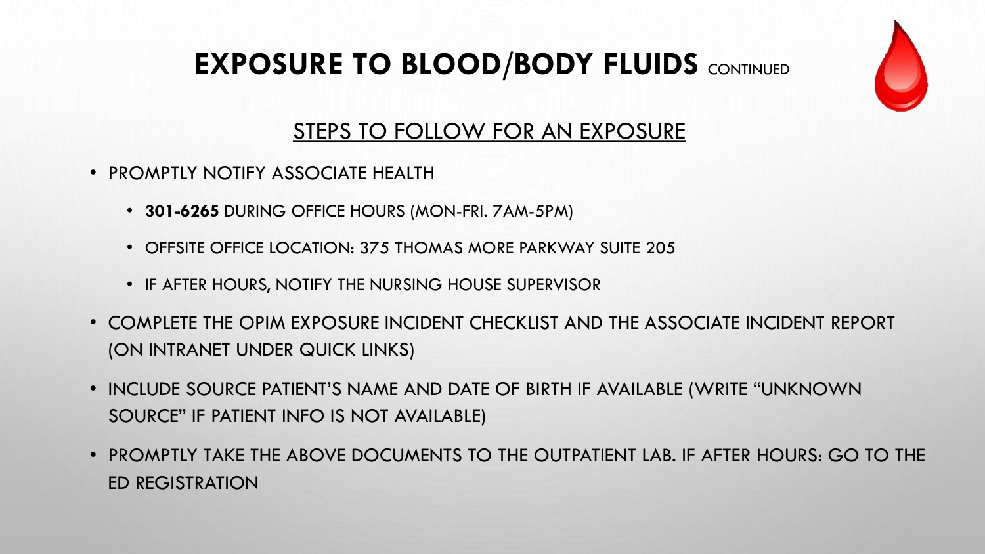### **EXPOSURE TO BLOOD/BODY FLUIDS CONTINUED**



### STEPS TO FOLLOW FOR AN EXPOSURE

- PROMPTLY NOTIFY ASSOCIATE HEALTH
	- **301-6265** DURING OFFICE HOURS (MON-FRI. 7AM-5PM)
	- OFFSITE OFFICE LOCATION: 375 THOMAS MORE PARKWAY SUITE 205
	- IF AFTER HOURS, NOTIFY THE NURSING HOUSE SUPERVISOR
- COMPLETE THE OPIM EXPOSURE INCIDENT CHECKLIST AND THE ASSOCIATE INCIDENT REPORT (ON INTRANET UNDER QUICK LINKS)
- INCLUDE SOURCE PATIENT'S NAME AND DATE OF BIRTH IF AVAILABLE (WRITE "UNKNOWN SOURCE" IF PATIENT INFO IS NOT AVAILABLE)
- PROMPTLY TAKE THE ABOVE DOCUMENTS TO THE OUTPATIENT LAB. IF AFTER HOURS: GO TO THE ED REGISTRATION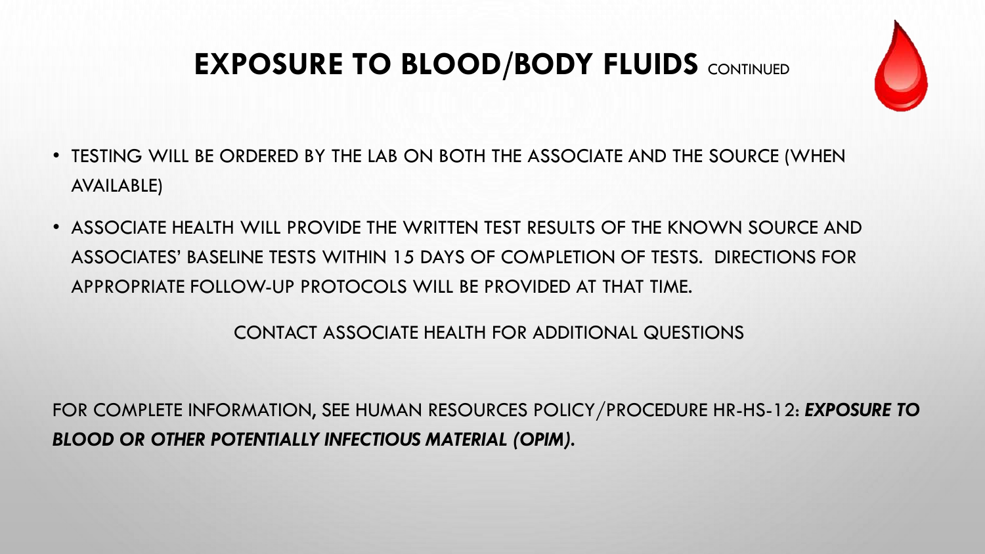### **EXPOSURE TO BLOOD/BODY FLUIDS CONTINUED**



- TESTING WILL BE ORDERED BY THE LAB ON BOTH THE ASSOCIATE AND THE SOURCE (WHEN AVAILABLE)
- ASSOCIATE HEALTH WILL PROVIDE THE WRITTEN TEST RESULTS OF THE KNOWN SOURCE AND ASSOCIATES' BASELINE TESTS WITHIN 15 DAYS OF COMPLETION OF TESTS. DIRECTIONS FOR APPROPRIATE FOLLOW-UP PROTOCOLS WILL BE PROVIDED AT THAT TIME.

CONTACT ASSOCIATE HEALTH FOR ADDITIONAL QUESTIONS

FOR COMPLETE INFORMATION, SEE HUMAN RESOURCES POLICY/PROCEDURE HR-HS-12: *EXPOSURE TO BLOOD OR OTHER POTENTIALLY INFECTIOUS MATERIAL (OPIM).*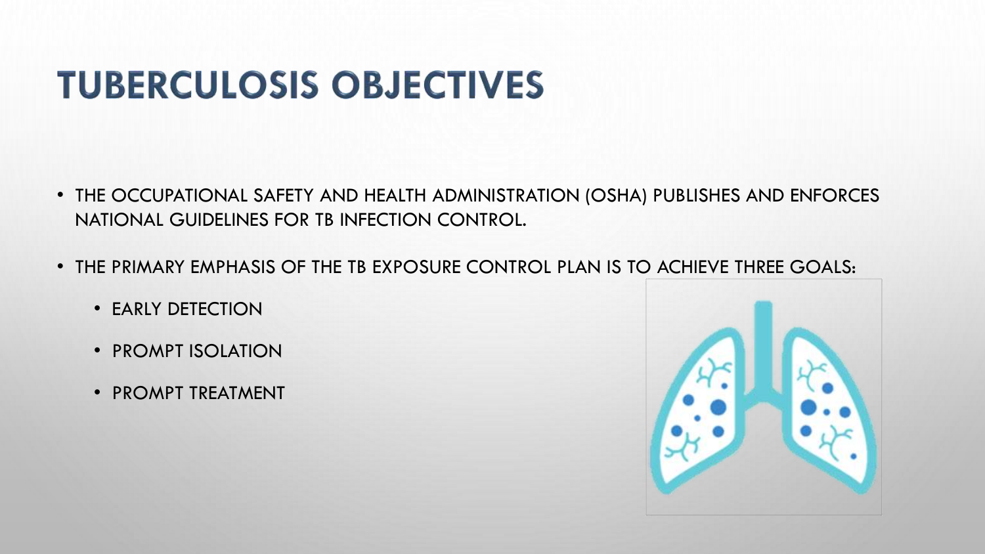# **TUBERCULOSIS OBJECTIVES**

- THE OCCUPATIONAL SAFETY AND HEALTH ADMINISTRATION (OSHA) PUBLISHES AND ENFORCES NATIONAL GUIDELINES FOR TB INFECTION CONTROL.
- THE PRIMARY EMPHASIS OF THE TB EXPOSURE CONTROL PLAN IS TO ACHIEVE THREE GOALS:
	- EARLY DETECTION
	- PROMPT ISOLATION
	- PROMPT TREATMENT

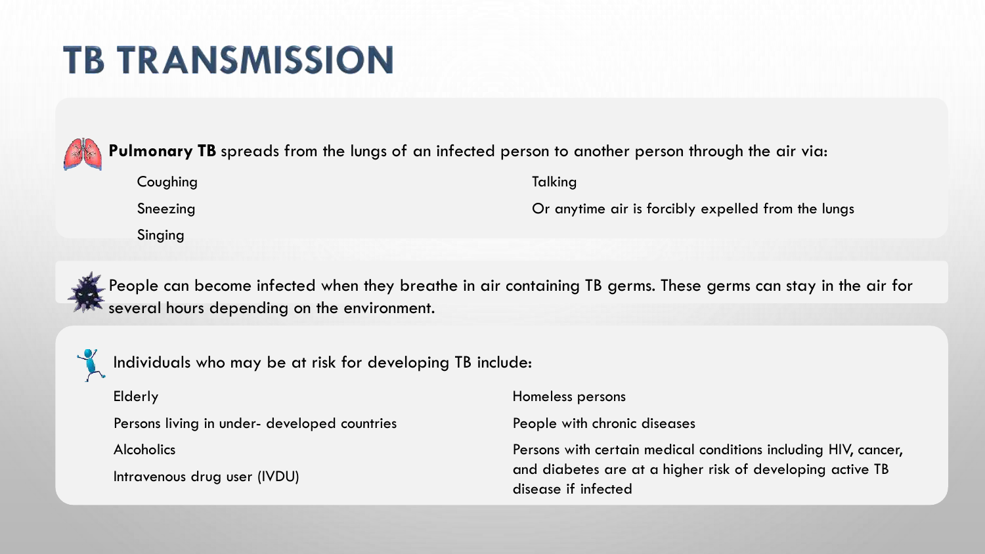## **TB TRANSMISSION**



**Pulmonary TB** spreads from the lungs of an infected person to another person through the air via:

Sneezing

Singing

Or anytime air is forcibly expelled from the lungs



People can become infected when they breathe in air containing TB germs. These germs can stay in the air for several hours depending on the environment.



Individuals who may be at risk for developing TB include:

Elderly

Persons living in under- developed countries

Alcoholics

Intravenous drug user (IVDU)

Homeless persons

**Talking** 

People with chronic diseases

Persons with certain medical conditions including HIV, cancer, and diabetes are at a higher risk of developing active TB disease if infected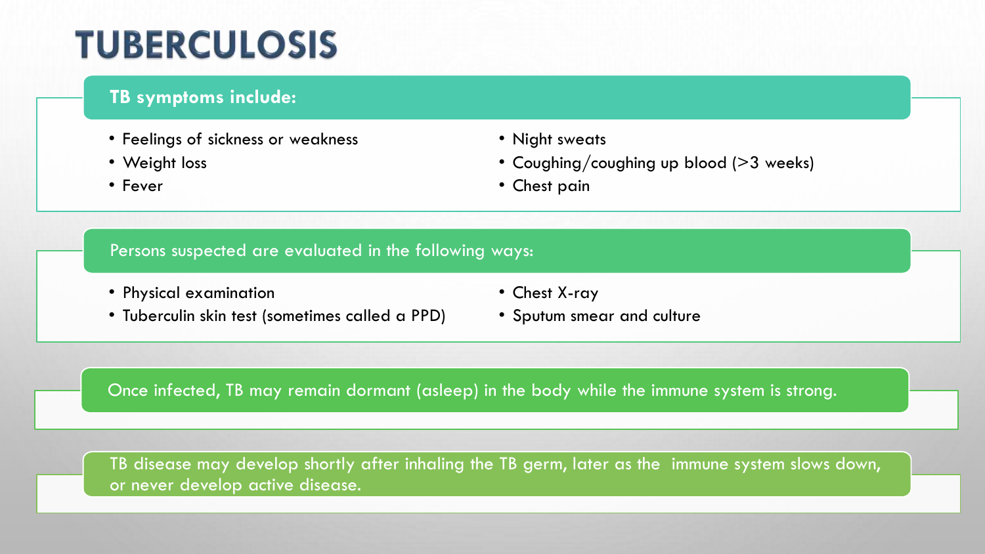## **TUBERCULOSIS**

### **TB symptoms include:**

- Feelings of sickness or weakness
- Weight loss
- Fever
- Night sweats
- Coughing/coughing up blood (>3 weeks)
- Chest pain

#### Persons suspected are evaluated in the following ways:

- Physical examination
- Tuberculin skin test (sometimes called a PPD)
- Chest X-ray
- Sputum smear and culture

Once infected, TB may remain dormant (asleep) in the body while the immune system is strong.

TB disease may develop shortly after inhaling the TB germ, later as the immune system slows down, or never develop active disease.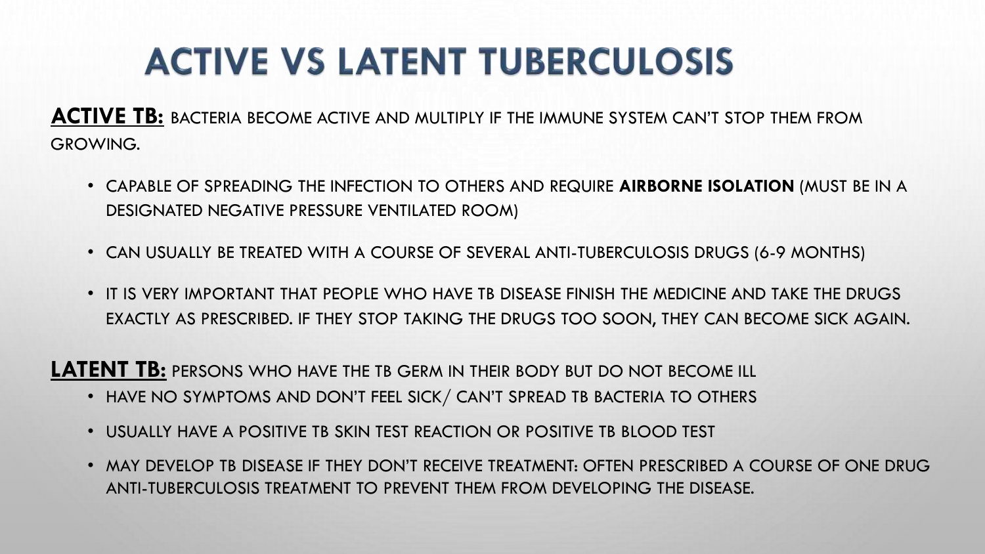# **ACTIVE VS LATENT TUBERCULOSIS**

**ACTIVE TB:** BACTERIA BECOME ACTIVE AND MULTIPLY IF THE IMMUNE SYSTEM CAN'T STOP THEM FROM GROWING.

- CAPABLE OF SPREADING THE INFECTION TO OTHERS AND REQUIRE **AIRBORNE ISOLATION** (MUST BE IN A DESIGNATED NEGATIVE PRESSURE VENTILATED ROOM)
- CAN USUALLY BE TREATED WITH A COURSE OF SEVERAL ANTI-TUBERCULOSIS DRUGS (6-9 MONTHS)
- IT IS VERY IMPORTANT THAT PEOPLE WHO HAVE TB DISEASE FINISH THE MEDICINE AND TAKE THE DRUGS EXACTLY AS PRESCRIBED. IF THEY STOP TAKING THE DRUGS TOO SOON, THEY CAN BECOME SICK AGAIN.

**LATENT TB:** PERSONS WHO HAVE THE TB GERM IN THEIR BODY BUT DO NOT BECOME ILL

- HAVE NO SYMPTOMS AND DON'T FEEL SICK / CAN'T SPREAD TB BACTERIA TO OTHERS
- USUALLY HAVE A POSITIVE TB SKIN TEST REACTION OR POSITIVE TB BLOOD TEST
- MAY DEVELOP TB DISEASE IF THEY DON'T RECEIVE TREATMENT: OFTEN PRESCRIBED A COURSE OF ONE DRUG ANTI-TUBERCULOSIS TREATMENT TO PREVENT THEM FROM DEVELOPING THE DISEASE.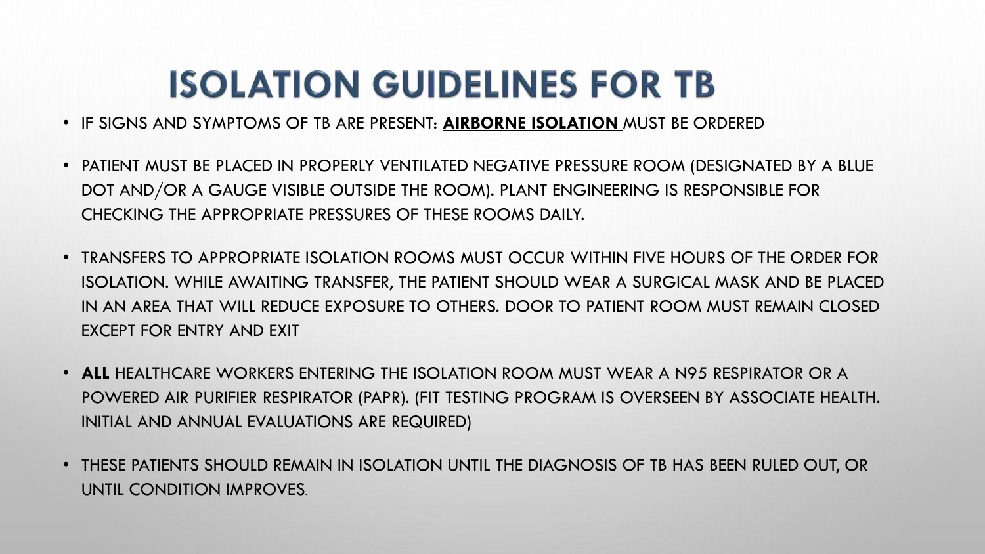## **ISOLATION GUIDELINES FOR TB**

- IF SIGNS AND SYMPTOMS OF TB ARE PRESENT: **AIRBORNE ISOLATION** MUST BE ORDERED
- PATIENT MUST BE PLACED IN PROPERLY VENTILATED NEGATIVE PRESSURE ROOM (DESIGNATED BY A BLUE DOT AND/OR A GAUGE VISIBLE OUTSIDE THE ROOM). PLANT ENGINEERING IS RESPONSIBLE FOR CHECKING THE APPROPRIATE PRESSURES OF THESE ROOMS DAILY.
- TRANSFERS TO APPROPRIATE ISOLATION ROOMS MUST OCCUR WITHIN FIVE HOURS OF THE ORDER FOR ISOLATION. WHILE AWAITING TRANSFER, THE PATIENT SHOULD WEAR A SURGICAL MASK AND BE PLACED IN AN AREA THAT WILL REDUCE EXPOSURE TO OTHERS. DOOR TO PATIENT ROOM MUST REMAIN CLOSED EXCEPT FOR ENTRY AND EXIT
- **ALL** HEALTHCARE WORKERS ENTERING THE ISOLATION ROOM MUST WEAR A N95 RESPIRATOR OR A POWERED AIR PURIFIER RESPIRATOR (PAPR). (FIT TESTING PROGRAM IS OVERSEEN BY ASSOCIATE HEALTH. INITIAL AND ANNUAL EVALUATIONS ARE REQUIRED)
- THESE PATIENTS SHOULD REMAIN IN ISOLATION UNTIL THE DIAGNOSIS OF TB HAS BEEN RULED OUT, OR UNTIL CONDITION IMPROVES.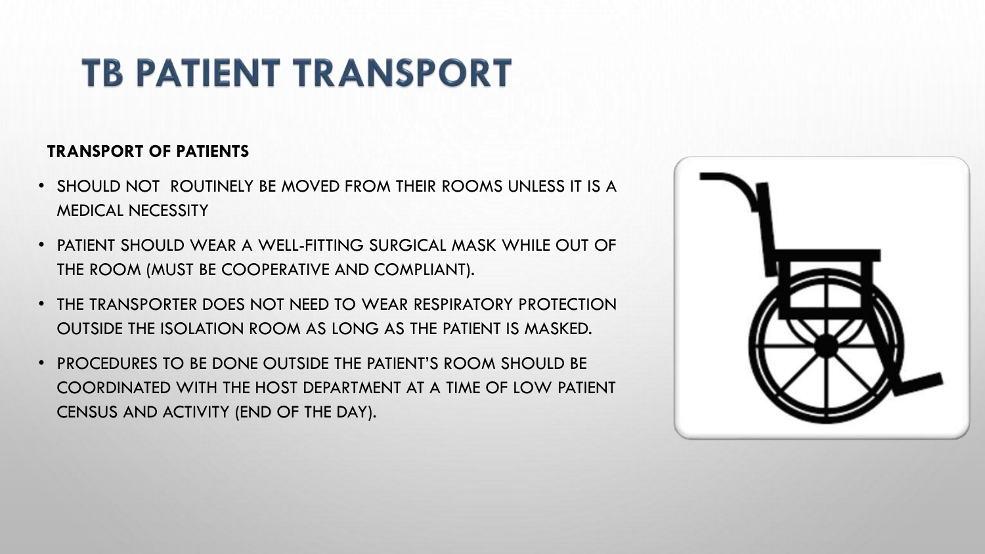# **TB PATIENT TRANSPORT**

### **TRANSPORT OF PATIENTS**

- SHOULD NOT ROUTINELY BE MOVED FROM THEIR ROOMS UNLESS IT IS A MEDICAL NECESSITY
- PATIENT SHOULD WEAR A WELL-FITTING SURGICAL MASK WHILE OUT OF THE ROOM (MUST BE COOPERATIVE AND COMPLIANT).
- THE TRANSPORTER DOES NOT NEED TO WEAR RESPIRATORY PROTECTION OUTSIDE THE ISOLATION ROOM AS LONG AS THE PATIENT IS MASKED.
- PROCEDURES TO BE DONE OUTSIDE THE PATIENT'S ROOM SHOULD BE COORDINATED WITH THE HOST DEPARTMENT AT A TIME OF LOW PATIENT CENSUS AND ACTIVITY (END OF THE DAY).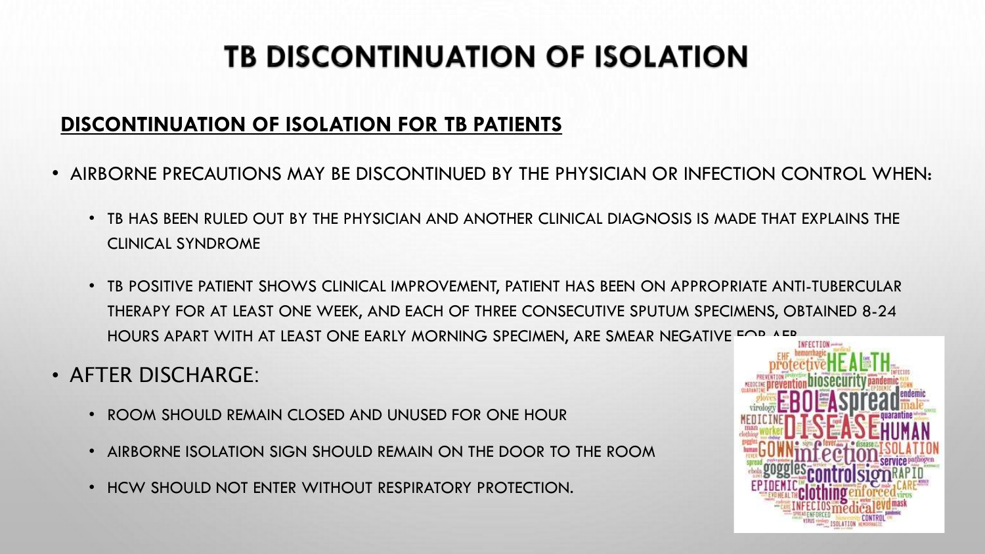## **TB DISCONTINUATION OF ISOLATION**

### **DISCONTINUATION OF ISOLATION FOR TB PATIENTS**

- AIRBORNE PRECAUTIONS MAY BE DISCONTINUED BY THE PHYSICIAN OR INFECTION CONTROL WHEN:
	- TB HAS BEEN RULED OUT BY THE PHYSICIAN AND ANOTHER CLINICAL DIAGNOSIS IS MADE THAT EXPLAINS THE CLINICAL SYNDROME
	- TB POSITIVE PATIENT SHOWS CLINICAL IMPROVEMENT, PATIENT HAS BEEN ON APPROPRIATE ANTI-TUBERCULAR THERAPY FOR AT LEAST ONE WEEK, AND EACH OF THREE CONSECUTIVE SPUTUM SPECIMENS, OBTAINED 8-24 HOURS APART WITH AT LEAST ONE EARLY MORNING SPECIMEN, ARE SMEAR NEGATIVE EOP AFR
- AFTER DISCHARGE:
	- ROOM SHOULD REMAIN CLOSED AND UNUSED FOR ONE HOUR
	- AIRBORNE ISOLATION SIGN SHOULD REMAIN ON THE DOOR TO THE ROOM
	- HCW SHOULD NOT ENTER WITHOUT RESPIRATORY PROTECTION.

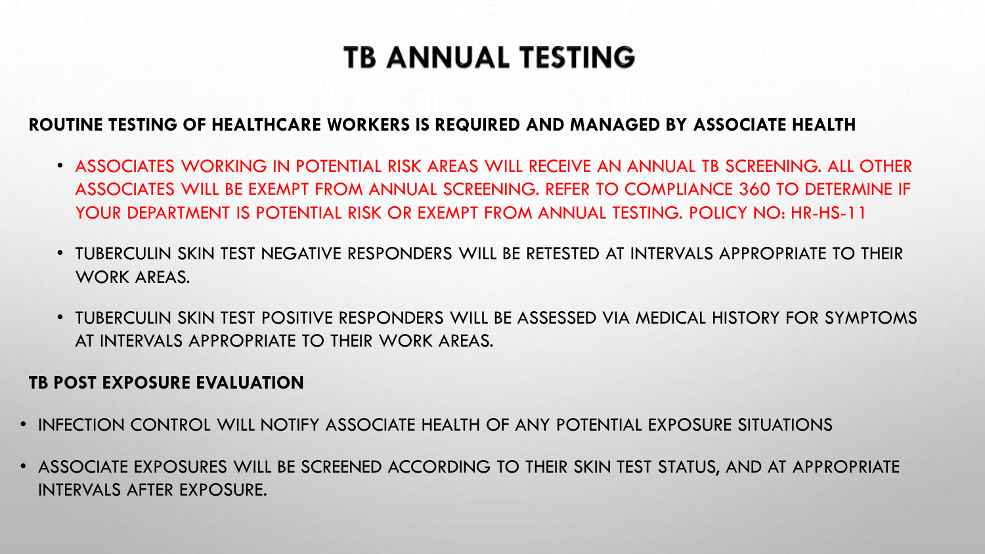### **TB ANNUAL TESTING**

### **ROUTINE TESTING OF HEALTHCARE WORKERS IS REQUIRED AND MANAGED BY ASSOCIATE HEALTH**

- ASSOCIATES WORKING IN POTENTIAL RISK AREAS WILL RECEIVE AN ANNUAL TB SCREENING. ALL OTHER ASSOCIATES WILL BE EXEMPT FROM ANNUAL SCREENING. REFER TO COMPLIANCE 360 TO DETERMINE IF YOUR DEPARTMENT IS POTENTIAL RISK OR EXEMPT FROM ANNUAL TESTING. POLICY NO: HR-HS-11
- TUBERCULIN SKIN TEST NEGATIVE RESPONDERS WILL BE RETESTED AT INTERVALS APPROPRIATE TO THEIR WORK AREAS.
- TUBERCULIN SKIN TEST POSITIVE RESPONDERS WILL BE ASSESSED VIA MEDICAL HISTORY FOR SYMPTOMS AT INTERVALS APPROPRIATE TO THEIR WORK AREAS.

#### **TB POST EXPOSURE EVALUATION**

- INFECTION CONTROL WILL NOTIFY ASSOCIATE HEALTH OF ANY POTENTIAL EXPOSURE SITUATIONS
- ASSOCIATE EXPOSURES WILL BE SCREENED ACCORDING TO THEIR SKIN TEST STATUS, AND AT APPROPRIATE INTERVALS AFTER EXPOSURE.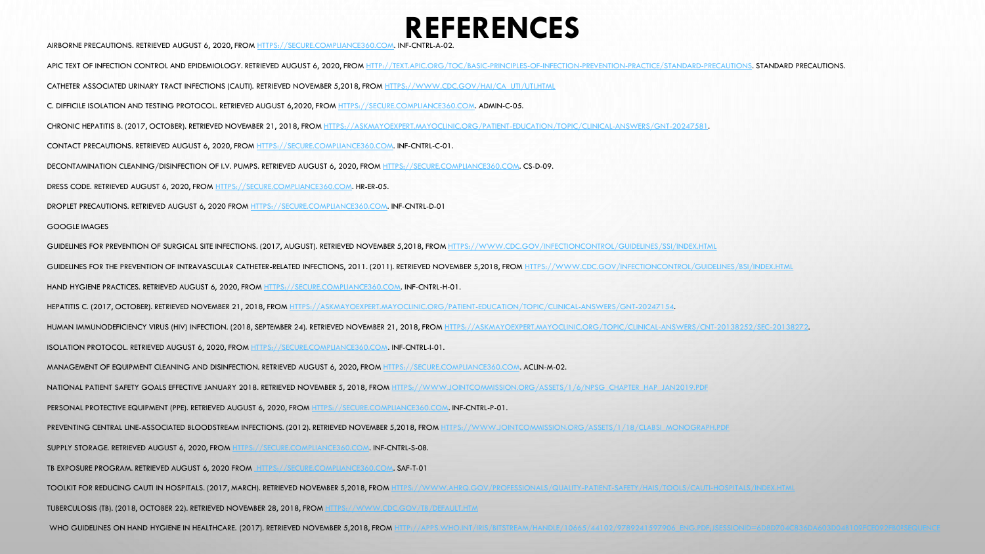### **REFERENCES**

AIRBORNE PRECAUTIONS. RETRIEVED AUGUST 6, 2020, FROM [HTTPS://SECURE.COMPLIANCE360.COM.](https://secure.compliance360.com/) INF-CNTRL-A-02.

APIC TEXT OF INFECTION CONTROL AND EPIDEMIOLOGY. RETRIEVED AUGUST 6, 2020, FROM [HTTP://TEXT.APIC.ORG/TOC/BASIC-PRINCIPLES-OF-INFECTION-PREVENTION-PRACTICE/STANDARD-PRECAUTIONS](http://text.apic.org/toc/basic-principles-of-infection-prevention-practice/standard-precautions). STANDARD PRECAUTIONS.

CATHETER ASSOCIATED URINARY TRACT INFECTIONS (CAUTI). RETRIEVED NOVEMBER 5,2018, FROM [HTTPS://WWW.CDC.GOV/HAI/CA\\_UTI/UTI.HTML](https://www.cdc.gov/hai/ca_uti/uti.html)

C. DIFFICILE ISOLATION AND TESTING PROTOCOL. RETRIEVED AUGUST 6,2020, FROM [HTTPS://SECURE.COMPLIANCE360.COM.](https://secure.compliance360.com/) ADMIN-C-05.

CHRONIC HEPATITIS B. (2017, OCTOBER). RETRIEVED NOVEMBER 21, 2018, FROM [HTTPS://ASKMAYOEXPERT.MAYOCLINIC.ORG/PATIENT-EDUCATION/TOPIC/CLINICAL-ANSWERS/GNT-20247581](https://askmayoexpert.mayoclinic.org/patient-education/topic/clinical-answers/gnt-20247581).

CONTACT PRECAUTIONS. RETRIEVED AUGUST 6, 2020, FROM [HTTPS://SECURE.COMPLIANCE360.COM](https://secure.compliance360.com/). INF-CNTRL-C-01.

DECONTAMINATION CLEANING/DISINFECTION OF I.V. PUMPS. RETRIEVED AUGUST 6, 2020, FROM [HTTPS://SECURE.COMPLIANCE360.COM](https://secure.compliance360.com/). CS-D-09.

DRESS CODE. RETRIEVED AUGUST 6, 2020, FROM [HTTPS://SECURE.COMPLIANCE360.COM](https://secure.compliance360.com/). HR-ER-05.

DROPLET PRECAUTIONS. RETRIEVED AUGUST 6, 2020 FROM [HTTPS://SECURE.COMPLIANCE360.COM.](https://secure.compliance360.com/) INF-CNTRL-D-01

GOOGLE IMAGES

GUIDELINES FOR PREVENTION OF SURGICAL SITE INFECTIONS. (2017, AUGUST). RETRIEVED NOVEMBER 5,2018, FROM [HTTPS://WWW.CDC.GOV/INFECTIONCONTROL/GUIDELINES/SSI/INDEX.HTML](https://www.cdc.gov/infectioncontrol/guidelines/ssi/index.html)

GUIDELINES FOR THE PREVENTION OF INTRAVASCULAR CATHETER-RELATED INFECTIONS, 2011. (2011). RETRIEVED NOVEMBER 5,2018, FROM [HTTPS://WWW.CDC.GOV/INFECTIONCONTROL/GUIDELINES/BSI/INDEX.HTML](https://www.cdc.gov/infectioncontrol/guidelines/bsi/index.html)

HAND HYGIENE PRACTICES. RETRIEVED AUGUST 6, 2020, FROM [HTTPS://SECURE.COMPLIANCE360.COM.](https://secure.compliance360.com/) INF-CNTRL-H-01.

HEPATITIS C. (2017, OCTOBER). RETRIEVED NOVEMBER 21, 2018, FROM [HTTPS://ASKMAYOEXPERT.MAYOCLINIC.ORG/PATIENT-EDUCATION/TOPIC/CLINICAL-ANSWERS/GNT-20247154.](https://askmayoexpert.mayoclinic.org/patient-education/topic/clinical-answers/gnt-20247154)

HUMAN IMMUNODEFICIENCY VIRUS (HIV) INFECTION. (2018, SEPTEMBER 24). RETRIEVED NOVEMBER 21, 2018, FROM [HTTPS://ASKMAYOEXPERT.MAYOCLINIC.ORG/TOPIC/CLINICAL-ANSWERS/CNT-20138252/SEC-20138272.](https://askmayoexpert.mayoclinic.org/topic/clinical-answers/cnt-20138252/sec-20138272)

ISOLATION PROTOCOL. RETRIEVED AUGUST 6, 2020, FROM [HTTPS://SECURE.COMPLIANCE360.COM.](https://secure.compliance360.com/) INF-CNTRL-I-01.

MANAGEMENT OF EQUIPMENT CLEANING AND DISINFECTION. RETRIEVED AUGUST 6, 2020, FROM [HTTPS://SECURE.COMPLIANCE360.COM.](https://secure.compliance360.com/) ACLIN-M-02.

NATIONAL PATIENT SAFETY GOALS EFFECTIVE JANUARY 2018. RETRIEVED NOVEMBER 5, 2018, FROM [HTTPS://WWW.JOINTCOMMISSION.ORG/ASSETS/1/6/NPSG\\_CHAPTER\\_HAP\\_JAN2019.PDF](https://www.jointcommission.org/assets/1/6/NPSG_Chapter_HAP_Jan2019.pdf)

PERSONAL PROTECTIVE EQUIPMENT (PPE). RETRIEVED AUGUST 6, 2020, FROM [HTTPS://SECURE.COMPLIANCE360.COM.](https://secure.compliance360.com/) INF-CNTRL-P-01.

PREVENTING CENTRAL LINE-ASSOCIATED BLOODSTREAM INFECTIONS. (2012). RETRIEVED NOVEMBER 5,2018, FROM [HTTPS://WWW.JOINTCOMMISSION.ORG/ASSETS/1/18/CLABSI\\_MONOGRAPH.PDF](https://www.jointcommission.org/assets/1/18/CLABSI_Monograph.pdf)

SUPPLY STORAGE. RETRIEVED AUGUST 6, 2020, FROM [HTTPS://SECURE.COMPLIANCE360.COM.](https://secure.compliance360.com/) INF-CNTRL-S-08.

TB EXPOSURE PROGRAM. RETRIEVED AUGUST 6, 2020 FROM [HTTPS://SECURE.COMPLIANCE360.COM](https://secure.compliance360.com/). SAF-T-01

TOOLKIT FOR REDUCING CAUTI IN HOSPITALS. (2017, MARCH). RETRIEVED NOVEMBER 5,2018, FROM [HTTPS://WWW.AHRQ.GOV/PROFESSIONALS/QUALITY-PATIENT-SAFETY/HAIS/TOOLS/CAUTI-HOSPITALS/INDEX.HTML](https://www.ahrq.gov/professionals/quality-patient-safety/hais/tools/cauti-hospitals/index.html)

TUBERCULOSIS (TB). (2018, OCTOBER 22). RETRIEVED NOVEMBER 28, 2018, FROM [HTTPS://WWW.CDC.GOV/TB/DEFAULT.HTM](https://www.cdc.gov/tb/default.htm)

WHO GUIDELINES ON HAND HYGIENE IN HEALTHCARE. (2017). RETRIEVED NOVEMBER 5,2018, FROM HTTP://APPS.WHO.INT/IRIS/BITSTREAM/HANDLE/10665/44102/9789241597906\_ENG.PDF;JSESSIONID=6D8D7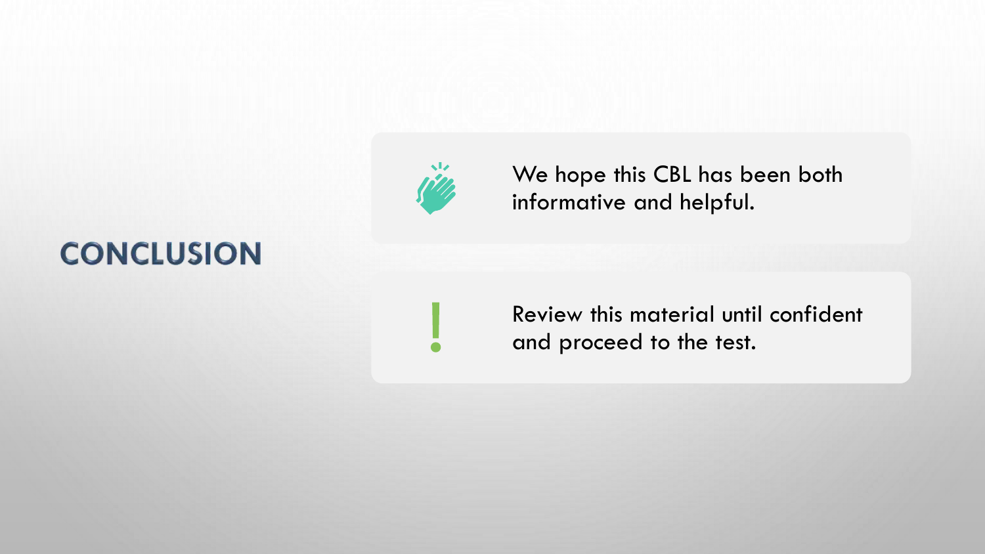### **CONCLUSION**



We hope this CBL has been both informative and helpful.

Review this material until confident and proceed to the test.